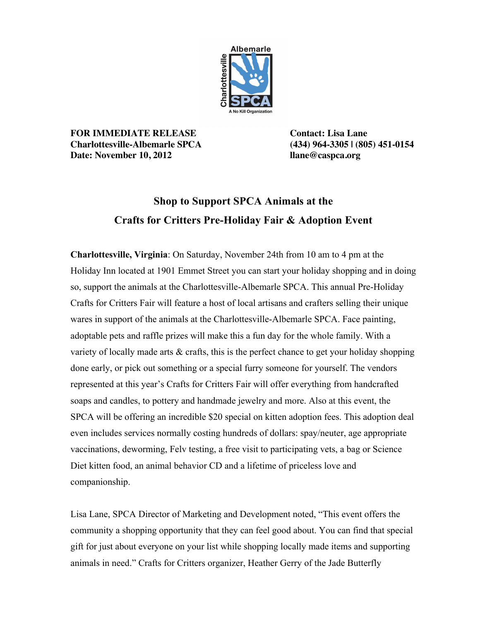

**FOR IMMEDIATE RELEASE Contact: Lisa Lane Charlottesville-Albemarle SPCA (434) 964-3305 | (805) 451-0154 Date: November 10, 2012 llane@caspca.org**

## **Shop to Support SPCA Animals at the Crafts for Critters Pre-Holiday Fair & Adoption Event**

**Charlottesville, Virginia**: On Saturday, November 24th from 10 am to 4 pm at the Holiday Inn located at 1901 Emmet Street you can start your holiday shopping and in doing so, support the animals at the Charlottesville-Albemarle SPCA. This annual Pre-Holiday Crafts for Critters Fair will feature a host of local artisans and crafters selling their unique wares in support of the animals at the Charlottesville-Albemarle SPCA. Face painting, adoptable pets and raffle prizes will make this a fun day for the whole family. With a variety of locally made arts  $\&$  crafts, this is the perfect chance to get your holiday shopping done early, or pick out something or a special furry someone for yourself. The vendors represented at this year's Crafts for Critters Fair will offer everything from handcrafted soaps and candles, to pottery and handmade jewelry and more. Also at this event, the SPCA will be offering an incredible \$20 special on kitten adoption fees. This adoption deal even includes services normally costing hundreds of dollars: spay/neuter, age appropriate vaccinations, deworming, Felv testing, a free visit to participating vets, a bag or Science Diet kitten food, an animal behavior CD and a lifetime of priceless love and companionship.

Lisa Lane, SPCA Director of Marketing and Development noted, "This event offers the community a shopping opportunity that they can feel good about. You can find that special gift for just about everyone on your list while shopping locally made items and supporting animals in need." Crafts for Critters organizer, Heather Gerry of the Jade Butterfly